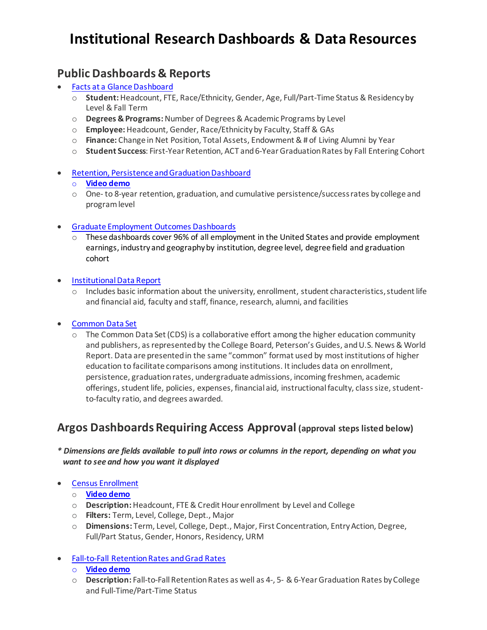# **Institutional Research Dashboards & Data Resources**

### **Public Dashboards & Reports**

- Facts at a Glance Dashboard
	- o **Student:**Headcount, FTE, Race/Ethnicity, Gender, Age, Full/Part-Time Status & Residency by Level & Fall Term
	- o **Degrees & Programs:**Number of Degrees & Academic Programs by Level
	- o **Employee:**Headcount, Gender, Race/Ethnicity by Faculty, Staff & GAs
	- o **Finance:** Change in Net Position, Total Assets, Endowment & # of Living Alumni by Year
	- o **Student Success**: First-Year Retention, ACT and 6-Year Graduation Rates by Fall Entering Cohort
- Retention, Persistence and Graduation Dashboard

#### o **[Video demo](https://rocketsutoledo.sharepoint.com/:v:/s/institutionalresearch/EfiSnpnBELpKuP38eXWooIsBSmxv-mNim3HrjWnsRU_A3g)**

- o One- to 8-year retention, graduation, and cumulative persistence/success rates by college and program level
- [Graduate Employment Outcomes Dashboards](https://www.utoledo.edu/offices/institutional-research/home/student-success.html#pseo-dashboard)
	- $\circ$  These dashboards cover 96% of all employment in the United States and provide employment earnings, industry and geography by institution, degree level, degree field and graduation cohort
- [Institutional Data Report](https://www.utoledo.edu/offices/institutional-research/home/university-facts.html#institutional-data-report)
	- $\circ$  Includes basic information about the university, enrollment, student characteristics, student life and financial aid, faculty and staff, finance, research, alumni, and facilities
- [Common Data Set](https://www.utoledo.edu/offices/institutional-research/home/university-facts.html#common-data-set)
	- $\circ$  The Common Data Set (CDS) is a collaborative effort among the higher education community and publishers, as represented by the College Board, Peterson's Guides, and U.S. News & World Report. Data are presented in the same "common" format used by most institutions of higher education to facilitate comparisons among institutions. It includes data on enrollment, persistence, graduation rates, undergraduate admissions, incoming freshmen, academic offerings, student life, policies, expenses, financial aid, instructional faculty, class size, studentto-faculty ratio, and degrees awarded.

### **Argos Dashboards Requiring Access Approval (approval steps listed below)**

*\* Dimensions are fields available to pull into rows or columns in the report, depending on what you want to see and how you want it displayed*

#### • Census [Enrollment](https://nam04.safelinks.protection.outlook.com/?url=https%3A%2F%2Fmyreports.utoledo.edu%2FArgos%2FAWV%2F%23explorer%2FInstitutional%2520Research%2500General%2520Inquiry%2FIR%2520Dashboard%2520for%2520Census%2520Enrollment&data=04%7C01%7CMdAyuburRahman.Khan%40utoledo.edu%7C51016fb83756421fad4b08d9a5ef8ddc%7C1d6b1707baa94a3da8f8deabfb3d467b%7C0%7C0%7C637723270563688183%7CUnknown%7CTWFpbGZsb3d8eyJWIjoiMC4wLjAwMDAiLCJQIjoiV2luMzIiLCJBTiI6Ik1haWwiLCJXVCI6Mn0%3D%7C1000&sdata=SXajCWBVhrb5kO7gHt%2FR0xiMc%2BY%2FUnvJ2g8ir8DfW9g%3D&reserved=0)

- o **[Video](https://rocketsutoledo.sharepoint.com/sites/institutionalresearch/Shared%20Documents/Forms/AllItems.aspx?id=%2Fsites%2Finstitutionalresearch%2FShared%20Documents%2FIR%20Dashboards%20Video%20Demo%2FArgos%20Census%20Enrollment%20Dashboard%20Demo%2Emp4&parent=%2Fsites%2Finstitutionalresearch%2FShared%20Documents%2FIR%20Dashboards%20Video%20Demo&p=true&ct=1638933729774&or=OWA-NT&cid=010b7158-8eb5-155a-e0fa-56c2e147a93a) demo**
- o **Description:**Headcount, FTE & Credit Hour enrollment by Level and College
- o **Filters:** Term, Level, College, Dept., Major
- o **Dimensions:** Term, Level, College, Dept., Major, First Concentration, Entry Action, Degree, Full/Part Status, Gender, Honors, Residency, URM
- Fall-to-Fall [RetentionRates](https://nam04.safelinks.protection.outlook.com/?url=https%3A%2F%2Fmyreports.utoledo.edu%2FArgos%2FAWV%2F%23explorer%2FInstitutional%2520Research%2500General%2520Inquiry%2FIR%2520Dashboard%2520Fall%2520Retention%2520Rates%2520and%2520Grad%2520Rates&data=04%7C01%7CMdAyuburRahman.Khan%40utoledo.edu%7C51016fb83756421fad4b08d9a5ef8ddc%7C1d6b1707baa94a3da8f8deabfb3d467b%7C0%7C0%7C637723270563698176%7CUnknown%7CTWFpbGZsb3d8eyJWIjoiMC4wLjAwMDAiLCJQIjoiV2luMzIiLCJBTiI6Ik1haWwiLCJXVCI6Mn0%3D%7C1000&sdata=YH5GiWnC1DhPVPBq5wqtRpXMzAzE4QhiDdO8f71vlUo%3D&reserved=0) andGrad Rates
	- o **[Video demo](https://rocketsutoledo.sharepoint.com/:v:/s/institutionalresearch/ES2cIq2Qp_NBhdkkGAUDkeMBgL6XM2wEjUyn8g6goGR-Tg)**
	- o **Description:** Fall-to-Fall Retention Rates as well as 4-, 5- & 6-Year Graduation Rates by College and Full-Time/Part-Time Status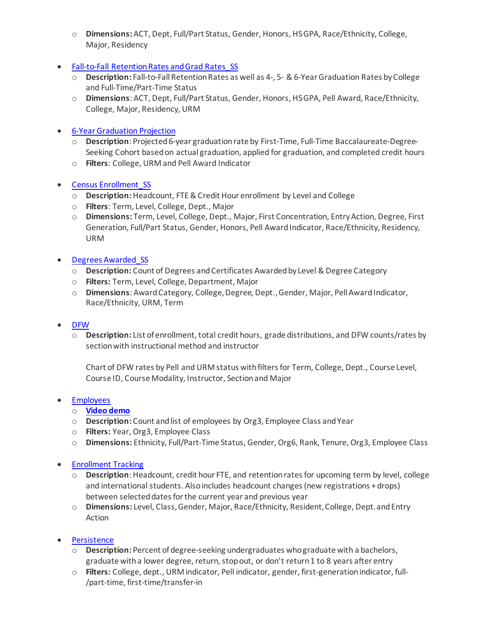- o **Dimensions:** ACT, Dept, Full/Part Status, Gender, Honors, HS GPA, Race/Ethnicity, College, Major, Residency
- Fall-to-Fall Retention Rates and Grad Rates SS
	- o **Description:** Fall-to-Fall Retention Rates as well as 4-, 5- & 6-Year Graduation Rates by College and Full-Time/Part-Time Status
	- o **Dimensions**: ACT, Dept, Full/Part Status, Gender, Honors, HS GPA, Pell Award, Race/Ethnicity, College, Major, Residency, URM
- [6-YearGraduation](https://nam04.safelinks.protection.outlook.com/?url=https%3A%2F%2Fmyreports.utoledo.edu%2FArgos%2FAWV%2F%23explorer%2FInstitutional%2520Research%2500Restricted%2FIR%2520Dashboard%2520for%25206%2520year%2520Graduation%2520Projection&data=04%7C01%7CMdAyuburRahman.Khan%40utoledo.edu%7C51016fb83756421fad4b08d9a5ef8ddc%7C1d6b1707baa94a3da8f8deabfb3d467b%7C0%7C0%7C637723270563718167%7CUnknown%7CTWFpbGZsb3d8eyJWIjoiMC4wLjAwMDAiLCJQIjoiV2luMzIiLCJBTiI6Ik1haWwiLCJXVCI6Mn0%3D%7C1000&sdata=OoL1X%2FoiFCxZbI4i7WzZyV9DvLuPCM2ppmsmdwsD3xQ%3D&reserved=0) Projection
	- o **Description**: Projected 6-year graduation rate by First-Time, Full-Time Baccalaureate-Degree-Seeking Cohort based on actual graduation, applied for graduation, and completed credit hours
	- o **Filters**: College, URM and Pell Award Indicator

#### • Census [Enrollment\\_SS](https://nam04.safelinks.protection.outlook.com/?url=https%3A%2F%2Fmyreports.utoledo.edu%2FArgos%2FAWV%2F%23explorer%2FInstitutional%2520Research%2500Restricted%2FIR%2520Dashboard%2520for%2520Census%2520Enrollment_SS&data=04%7C01%7CMdAyuburRahman.Khan%40utoledo.edu%7C51016fb83756421fad4b08d9a5ef8ddc%7C1d6b1707baa94a3da8f8deabfb3d467b%7C0%7C0%7C637723270563718167%7CUnknown%7CTWFpbGZsb3d8eyJWIjoiMC4wLjAwMDAiLCJQIjoiV2luMzIiLCJBTiI6Ik1haWwiLCJXVCI6Mn0%3D%7C1000&sdata=PWjJVGRgzYvTE8amWtF43KOcSCXx9DxLVr%2FILFEFJIU%3D&reserved=0)

- o **Description:**Headcount, FTE & Credit Hour enrollment by Level and College
- o **Filters**: Term, Level, College, Dept., Major
- o **Dimensions:** Term, Level, College, Dept., Major, First Concentration, Entry Action, Degree, First Generation, Full/Part Status, Gender, Honors, Pell Award Indicator, Race/Ethnicity, Residency, URM
- Degrees [Awarded\\_SS](https://nam04.safelinks.protection.outlook.com/?url=https%3A%2F%2Fmyreports.utoledo.edu%2FArgos%2FAWV%2F%23explorer%2FInstitutional%2520Research%2500Restricted%2FIR%2520Dashboard%2520for%2520Degree%2520Awarded_SS&data=04%7C01%7CMdAyuburRahman.Khan%40utoledo.edu%7C51016fb83756421fad4b08d9a5ef8ddc%7C1d6b1707baa94a3da8f8deabfb3d467b%7C0%7C0%7C637723270563728162%7CUnknown%7CTWFpbGZsb3d8eyJWIjoiMC4wLjAwMDAiLCJQIjoiV2luMzIiLCJBTiI6Ik1haWwiLCJXVCI6Mn0%3D%7C1000&sdata=C0ysKKy1C%2F4YNfXQCfpJfwdaLYJYsAzdjTt3UUztnnI%3D&reserved=0)
	- o **Description:** Count of Degrees and Certificates Awarded by Level & Degree Category
	- o **Filters:** Term, Level, College, Department, Major
	- o **Dimensions**: Award Category, College, Degree, Dept., Gender, Major, Pell Award Indicator, Race/Ethnicity, URM, Term

#### • [DFW](https://nam04.safelinks.protection.outlook.com/?url=https%3A%2F%2Fmyreports.utoledo.edu%2FArgos%2FAWV%2F%23explorer%2FInstitutional%2520Research%2500Restricted%2FIR%2520Dashboard%2520for%2520DFW&data=04%7C01%7CMdAyuburRahman.Khan%40utoledo.edu%7C51016fb83756421fad4b08d9a5ef8ddc%7C1d6b1707baa94a3da8f8deabfb3d467b%7C0%7C0%7C637723270563738156%7CUnknown%7CTWFpbGZsb3d8eyJWIjoiMC4wLjAwMDAiLCJQIjoiV2luMzIiLCJBTiI6Ik1haWwiLCJXVCI6Mn0%3D%7C1000&sdata=A2xDzCRsnnlqL2FE4DtCBTKY3WQa6nZKRC%2Bi935Yh7A%3D&reserved=0)

o **Description:** List of enrollment, total credit hours, grade distributions, and DFW counts/rates by section with instructional method and instructor

Chart of DFW rates by Pell and URM status with filters for Term, College, Dept., Course Level, Course ID, Course Modality, Instructor, Section and Major

#### • [Employees](https://nam04.safelinks.protection.outlook.com/?url=https%3A%2F%2Fmyreports.utoledo.edu%2FArgos%2FAWV%2F%23explorer%2FInstitutional%2520Research%2500Restricted%2FIR%2520Dashboard%2520for%2520Employee&data=04%7C01%7CMdAyuburRahman.Khan%40utoledo.edu%7C51016fb83756421fad4b08d9a5ef8ddc%7C1d6b1707baa94a3da8f8deabfb3d467b%7C0%7C0%7C637723270563748157%7CUnknown%7CTWFpbGZsb3d8eyJWIjoiMC4wLjAwMDAiLCJQIjoiV2luMzIiLCJBTiI6Ik1haWwiLCJXVCI6Mn0%3D%7C1000&sdata=%2BsYEEyYgDEOSdEWapEIM1rTmUh1hRv%2B%2FIj57L9QD6dc%3D&reserved=0)

- o **[Video demo](https://rocketsutoledo.sharepoint.com/:v:/s/institutionalresearch/Ed3A8BpXAeFPoBpFqY4N2CYBaBYAxn1iquFOFn1GQHZ0ow)**
- o **Description:** Count and list of employees by Org3, Employee Class and Year
- o **Filters:** Year, Org3, Employee Class
- o **Dimensions:** Ethnicity, Full/Part-Time Status, Gender, Org6, Rank, Tenure, Org3, Employee Class

#### • [Enrollment](https://nam04.safelinks.protection.outlook.com/?url=https%3A%2F%2Fmyreports.utoledo.edu%2FArgos%2FAWV%2F%23explorer%2FInstitutional%2520Research%2500Restricted&data=04%7C01%7CMdAyuburRahman.Khan%40utoledo.edu%7C51016fb83756421fad4b08d9a5ef8ddc%7C1d6b1707baa94a3da8f8deabfb3d467b%7C0%7C0%7C637723270563748157%7CUnknown%7CTWFpbGZsb3d8eyJWIjoiMC4wLjAwMDAiLCJQIjoiV2luMzIiLCJBTiI6Ik1haWwiLCJXVCI6Mn0%3D%7C1000&sdata=tjGAy5ilg%2BBbGvTa70ZTV6DNwtXNBg%2FPFaqpaAWSl0M%3D&reserved=0) Tracking

- o **Description**: Headcount, credit hour FTE, and retention rates for upcoming term by level, college and international students. Also includes headcount changes (new registrations + drops) between selected dates for the current year and previous year
- o **Dimensions:** Level, Class, Gender, Major, Race/Ethnicity, Resident, College, Dept. and Entry Action
- **[Persistence](https://nam04.safelinks.protection.outlook.com/?url=https%3A%2F%2Fmyreports.utoledo.edu%2FArgos%2FAWV%2F%23explorer%2FInstitutional%2520Research%2500Restricted%2FIR%2520Dashboard%2520for%2520Persistence&data=04%7C01%7CMdAyuburRahman.Khan%40utoledo.edu%7C51016fb83756421fad4b08d9a5ef8ddc%7C1d6b1707baa94a3da8f8deabfb3d467b%7C0%7C0%7C637723270563758146%7CUnknown%7CTWFpbGZsb3d8eyJWIjoiMC4wLjAwMDAiLCJQIjoiV2luMzIiLCJBTiI6Ik1haWwiLCJXVCI6Mn0%3D%7C1000&sdata=jH3Liliaz0yteHqHtwE6bGpvCOjcAOfcKUVAtqKr0Vg%3D&reserved=0)** 
	- o **Description:** Percent of degree-seeking undergraduates who graduate with a bachelors, graduate with a lower degree, return, stop out, or don't return 1 to 8 years after entry
	- o **Filters:** College, dept., URM indicator, Pell indicator, gender, first-generation indicator, full- /part-time, first-time/transfer-in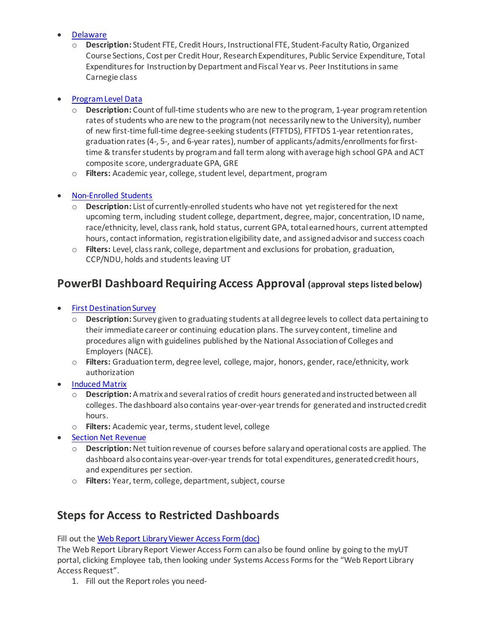#### • [Delaware](https://nam04.safelinks.protection.outlook.com/?url=https%3A%2F%2Fmyreports.utoledo.edu%2FArgos%2FAWV%2F%23explorer%2FInstitutional%2520Research%2500Restricted%2FIR%2520Delaware%2520Dashboard&data=04%7C01%7CMdAyuburRahman.Khan%40utoledo.edu%7C51016fb83756421fad4b08d9a5ef8ddc%7C1d6b1707baa94a3da8f8deabfb3d467b%7C0%7C0%7C637723270563768140%7CUnknown%7CTWFpbGZsb3d8eyJWIjoiMC4wLjAwMDAiLCJQIjoiV2luMzIiLCJBTiI6Ik1haWwiLCJXVCI6Mn0%3D%7C1000&sdata=kN%2F2EhprfdAqy8aDHY5ynU0jHNnwcFoEjj5aDQMdCTQ%3D&reserved=0)

o **Description:** Student FTE, Credit Hours, Instructional FTE, Student-Faculty Ratio, Organized Course Sections, Cost per Credit Hour, Research Expenditures, Public Service Expenditure, Total Expenditures for Instruction by Department and Fiscal Year vs. Peer Institutions in same Carnegie class

#### • [Program Level Data](https://myreports.utoledo.edu/Argos/AWV/#explorer/Student%00Institutional%20Research/IR%20Dashboard%20for%20Program%20Level%20Data)

- o **Description:** Count of full-time students who are new to the program, 1-year program retention rates of students who are new to the program (not necessarily new to the University), number of new first-time full-time degree-seeking students (FTFTDS), FTFTDS 1-year retention rates, graduation rates (4-, 5-, and 6-year rates), number of applicants/admits/enrollments for firsttime & transfer students by program and fall term along with average high school GPA and ACT composite score, undergraduate GPA, GRE
- o **Filters:** Academic year, college, student level, department, program

#### **[Non-Enrolled Students](https://myreports.utoledo.edu/Argos/AWV/#explorer/Student%00Institutional%20Research/Non-Enrolled%20Students%20Dashboard)**

- o **Description:** List of currently-enrolled students who have not yet registered for the next upcoming term, including student college, department, degree, major, concentration, ID name, race/ethnicity, level, class rank, hold status, current GPA, total earned hours, current attempted hours, contact information, registration eligibility date, and assigned advisor and success coach
- o **Filters:** Level, class rank, college, department and exclusions for probation, graduation, CCP/NDU, holds and students leaving UT

### **PowerBI Dashboard Requiring Access Approval (approval steps listed below)**

- [First Destination Survey](https://powerbi.utoledo.edu/Reports/powerbi/Public/First%20Destination%20Survey)
	- o **Description:** Survey given to graduating students at all degree levels to collect data pertaining to their immediate career or continuing education plans. The survey content, timeline and procedures align with guidelines published by the National Association of Colleges and Employers (NACE).
	- o **Filters:** Graduation term, degree level, college, major, honors, gender, race/ethnicity, work authorization
- **[Induced Matrix](https://powerbi.utoledo.edu/Reports/powerbi/Institutional%20Research/Restricted/Induced%20Matrix%20Dashboard)** 
	- o **Description:** A matrix and several ratios of credit hours generated and instructed between all colleges. The dashboard also contains year-over-year trends for generated and instructed credit hours.
	- o **Filters:** Academic year, terms, student level, college
- **[Section Net Revenue](https://powerbi.utoledo.edu/Reports/powerbi/Institutional%20Research/Deans%20-%20Chairs%20-%20Business%20Managers/Section_Net_Revenue)** 
	- o **Description:** Net tuition revenue of courses before salary and operational costs are applied. The dashboard also contains year-over-year trends for total expenditures, generated credit hours, and expenditures per section.
	- o **Filters:** Year, term, college, department, subject, course

## **Steps for Access to Restricted Dashboards**

Fill out the Web Report Library Viewer Access Form (doc)

The Web Report Library Report Viewer Access Form can also be found online by going to the myUT portal, clicking Employee tab, then looking under Systems Access Formsfor the "Web Report Library Access Request".

1. Fill out the Report roles you need-